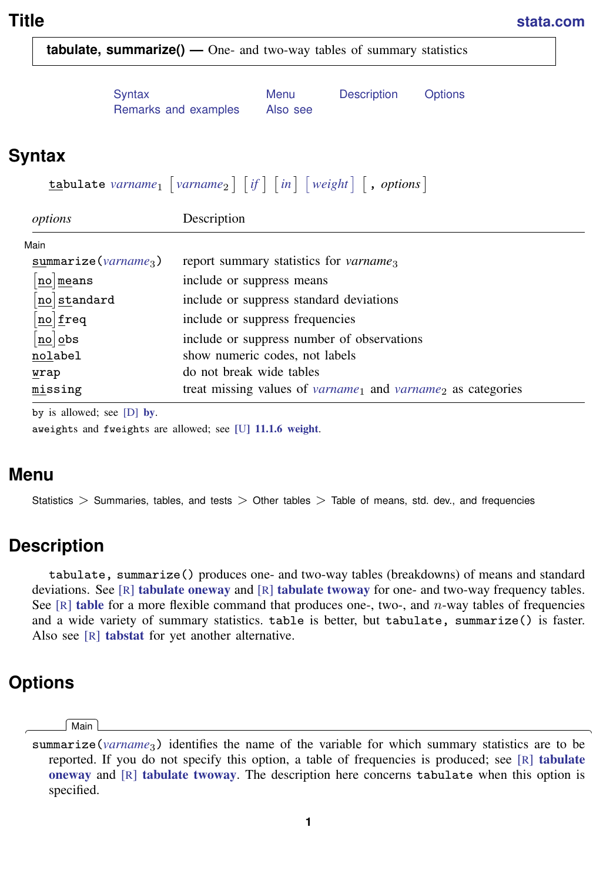<span id="page-0-5"></span><span id="page-0-0"></span>

| <b>tabulate, summarize()</b> — One- and two-way tables of summary statistics                                                           |                          |                                 |                                                           |                                                                                                   |
|----------------------------------------------------------------------------------------------------------------------------------------|--------------------------|---------------------------------|-----------------------------------------------------------|---------------------------------------------------------------------------------------------------|
| Syntax                                                                                                                                 | Remarks and examples     | Menu<br>Also see                | <b>Description</b>                                        | <b>Options</b>                                                                                    |
| <b>Syntax</b>                                                                                                                          |                          |                                 |                                                           |                                                                                                   |
| <b>tabulate</b> varname <sub>1</sub> $\lceil$ varname <sub>2</sub> $\lceil$ if $\lceil$ in $\lceil$ weight $\lceil$ , options $\lceil$ |                          |                                 |                                                           |                                                                                                   |
| options                                                                                                                                | Description              |                                 |                                                           |                                                                                                   |
| Main                                                                                                                                   |                          |                                 |                                                           |                                                                                                   |
| summarize(varname <sub>3</sub> )                                                                                                       |                          |                                 | report summary statistics for <i>varname</i> <sub>3</sub> |                                                                                                   |
| no means                                                                                                                               |                          | include or suppress means       |                                                           |                                                                                                   |
| no standard                                                                                                                            |                          |                                 | include or suppress standard deviations                   |                                                                                                   |
| $\frac{no freq}{.}$                                                                                                                    |                          | include or suppress frequencies |                                                           |                                                                                                   |
| $\overline{no}$ obs                                                                                                                    |                          |                                 | include or suppress number of observations                |                                                                                                   |
| nolabel                                                                                                                                |                          | show numeric codes, not labels  |                                                           |                                                                                                   |
| ⊻rap                                                                                                                                   | do not break wide tables |                                 |                                                           |                                                                                                   |
| missing                                                                                                                                |                          |                                 |                                                           | treat missing values of <i>varname</i> <sub>1</sub> and <i>varname</i> <sub>2</sub> as categories |

by is allowed; see [\[D\]](http://www.stata.com/manuals13/dby.pdf#dby) by.

<span id="page-0-4"></span><span id="page-0-1"></span>aweights and fweights are allowed; see [U[\] 11.1.6 weight](http://www.stata.com/manuals13/u11.pdf#u11.1.6weight).

# **Menu**

<span id="page-0-2"></span>Statistics > Summaries, tables, and tests > Other tables > Table of means, std. dev., and frequencies

# **Description**

tabulate, summarize() produces one- and two-way tables (breakdowns) of means and standard deviations. See  $[R]$  [tabulate oneway](http://www.stata.com/manuals13/rtabulateoneway.pdf#rtabulateoneway) and  $[R]$  [tabulate twoway](http://www.stata.com/manuals13/rtabulatetwoway.pdf#rtabulatetwoway) for one- and two-way frequency tables. See  $[R]$  [table](http://www.stata.com/manuals13/rtable.pdf#rtable) for a more flexible command that produces one-, two-, and n-way tables of frequencies and a wide variety of summary statistics. table is better, but tabulate, summarize() is faster. Also see [R] **[tabstat](http://www.stata.com/manuals13/rtabstat.pdf#rtabstat)** for yet another alternative.

# <span id="page-0-3"></span>**Options**

 $\overline{a}$ 

[Main] Main  $\overline{\phantom{a}}$ 

summarize(*[varname](http://www.stata.com/manuals13/u11.pdf#u11.3Namingconventions)*3) identifies the name of the variable for which summary statistics are to be reported. If you do not specify this option, a table of frequencies is produced; see  $[R]$  [tabulate](http://www.stata.com/manuals13/rtabulateoneway.pdf#rtabulateoneway) [oneway](http://www.stata.com/manuals13/rtabulateoneway.pdf#rtabulateoneway) and [R] [tabulate twoway](http://www.stata.com/manuals13/rtabulatetwoway.pdf#rtabulatetwoway). The description here concerns tabulate when this option is specified.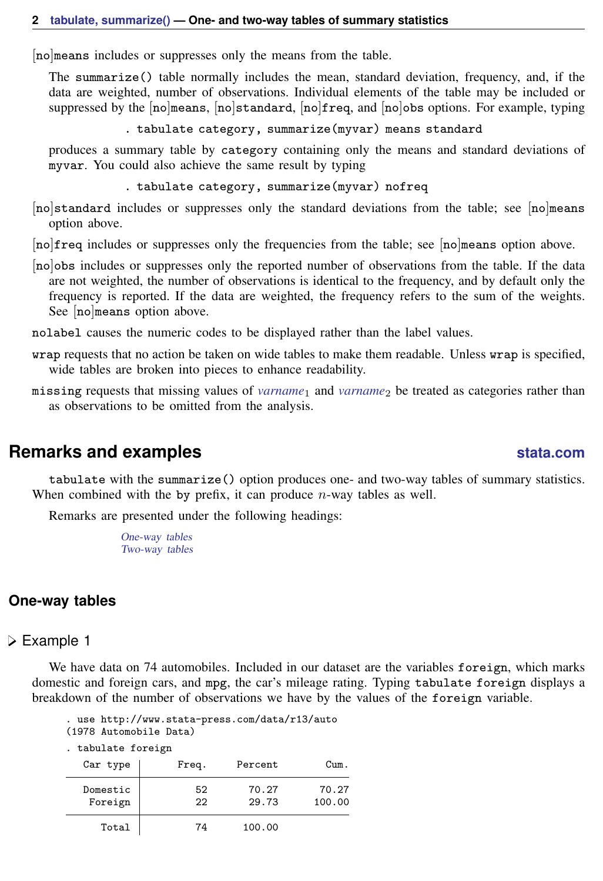[no]means includes or suppresses only the means from the table.

The summarize() table normally includes the mean, standard deviation, frequency, and, if the data are weighted, number of observations. Individual elements of the table may be included or suppressed by the [no]means, [no]standard, [no]freq, and [no]obs options. For example, typing

. tabulate category, summarize(myvar) means standard

produces a summary table by category containing only the means and standard deviations of myvar. You could also achieve the same result by typing

. tabulate category, summarize(myvar) nofreq

- [no]standard includes or suppresses only the standard deviations from the table; see [no]means option above.
- [no]freq includes or suppresses only the frequencies from the table; see [no]means option above.
- [no]obs includes or suppresses only the reported number of observations from the table. If the data are not weighted, the number of observations is identical to the frequency, and by default only the frequency is reported. If the data are weighted, the frequency refers to the sum of the weights. See [no]means option above.

nolabel causes the numeric codes to be displayed rather than the label values.

- wrap requests that no action be taken on wide tables to make them readable. Unless wrap is specified, wide tables are broken into pieces to enhance readability.
- <span id="page-1-0"></span>missing requests that missing values of *[varname](http://www.stata.com/manuals13/u11.pdf#u11.3Namingconventions)*<sub>1</sub> and *varname*<sub>2</sub> be treated as categories rather than as observations to be omitted from the analysis.

# **Remarks and examples [stata.com](http://stata.com)**

tabulate with the summarize() option produces one- and two-way tables of summary statistics. When combined with the by prefix, it can produce  $n$ -way tables as well.

Remarks are presented under the following headings:

[One-way tables](#page-1-1) [Two-way tables](#page-2-0)

#### <span id="page-1-1"></span>**One-way tables**

#### Example 1

We have data on 74 automobiles. Included in our dataset are the variables foreign, which marks domestic and foreign cars, and mpg, the car's mileage rating. Typing tabulate foreign displays a breakdown of the number of observations we have by the values of the foreign variable.

. use http://www.stata-press.com/data/r13/auto (1978 Automobile Data)

```
. tabulate foreign
```

| Car type            | Freq.    | Percent        | Cum.            |
|---------------------|----------|----------------|-----------------|
| Domestic<br>Foreign | 52<br>22 | 70.27<br>29.73 | 70.27<br>100.00 |
| Total               | 74       | 100.00         |                 |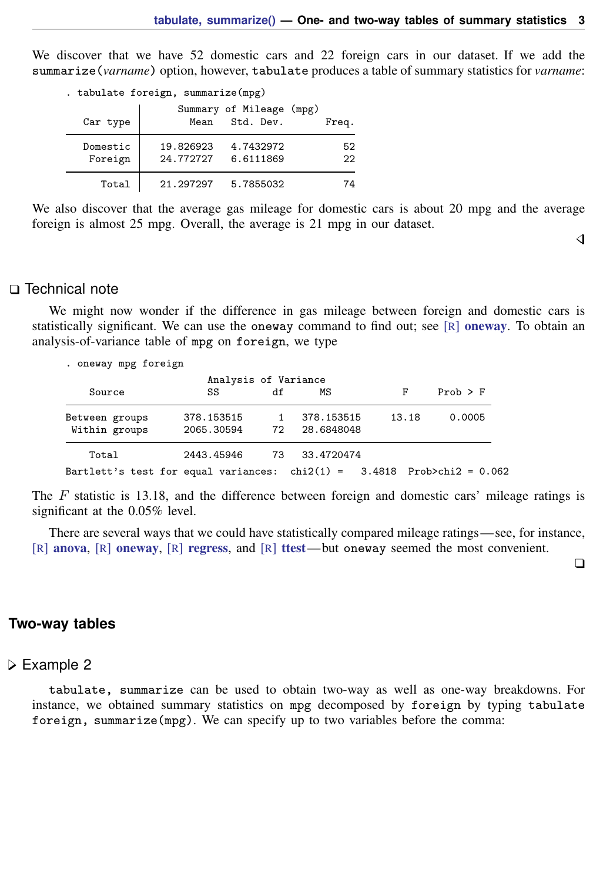We discover that we have 52 domestic cars and 22 foreign cars in our dataset. If we add the summarize(*varname*) option, however, tabulate produces a table of summary statistics for *varname*:

| . tabulate foreign, summarize(mpg) |                        |                                       |  |          |
|------------------------------------|------------------------|---------------------------------------|--|----------|
| Car type                           | Mean                   | Summary of Mileage (mpg)<br>Std. Dev. |  | Freq.    |
| Domestic<br>Foreign                | 19.826923<br>24.772727 | 4.7432972<br>6.6111869                |  | 52<br>22 |
| Total                              | 21.297297              | 5.7855032                             |  | 74       |

We also discover that the average gas mileage for domestic cars is about 20 mpg and the average foreign is almost 25 mpg. Overall, the average is 21 mpg in our dataset.

### □ Technical note

We might now wonder if the difference in gas mileage between foreign and domestic cars is statistically significant. We can use the [oneway](http://www.stata.com/manuals13/roneway.pdf#roneway) command to find out; see  $[R]$  oneway. To obtain an analysis-of-variance table of mpg on foreign, we type

| . oneway mpg foreign                                                      |                          |    |               |       |              |  |
|---------------------------------------------------------------------------|--------------------------|----|---------------|-------|--------------|--|
|                                                                           | Analysis of Variance     |    |               |       |              |  |
| Source                                                                    | SS                       | df | МS            | F     | $Prob$ > $F$ |  |
| Between groups                                                            | 378.153515               | 1  | 378.153515    | 13.18 | 0.0005       |  |
| Within groups                                                             | 2065.30594 72 28.6848048 |    |               |       |              |  |
| Total                                                                     | 2443.45946               |    | 73 33.4720474 |       |              |  |
| Bartlett's test for equal variances: chi2(1) = $3.4818$ Prob>chi2 = 0.062 |                          |    |               |       |              |  |

The  $F$  statistic is 13.18, and the difference between foreign and domestic cars' mileage ratings is significant at the 0.05% level.

There are several ways that we could have statistically compared mileage ratings— see, for instance, [R] [anova](http://www.stata.com/manuals13/ranova.pdf#ranova), [R] [oneway](http://www.stata.com/manuals13/roneway.pdf#roneway), [R] [regress](http://www.stata.com/manuals13/rregress.pdf#rregress), and [R] [ttest](http://www.stata.com/manuals13/rttest.pdf#rttest)— but oneway seemed the most convenient.

 $\Box$ 

 $\overline{\mathcal{L}}$ 

### <span id="page-2-0"></span>**Two-way tables**

## Example 2

tabulate, summarize can be used to obtain two-way as well as one-way breakdowns. For instance, we obtained summary statistics on mpg decomposed by foreign by typing tabulate foreign, summarize(mpg). We can specify up to two variables before the comma: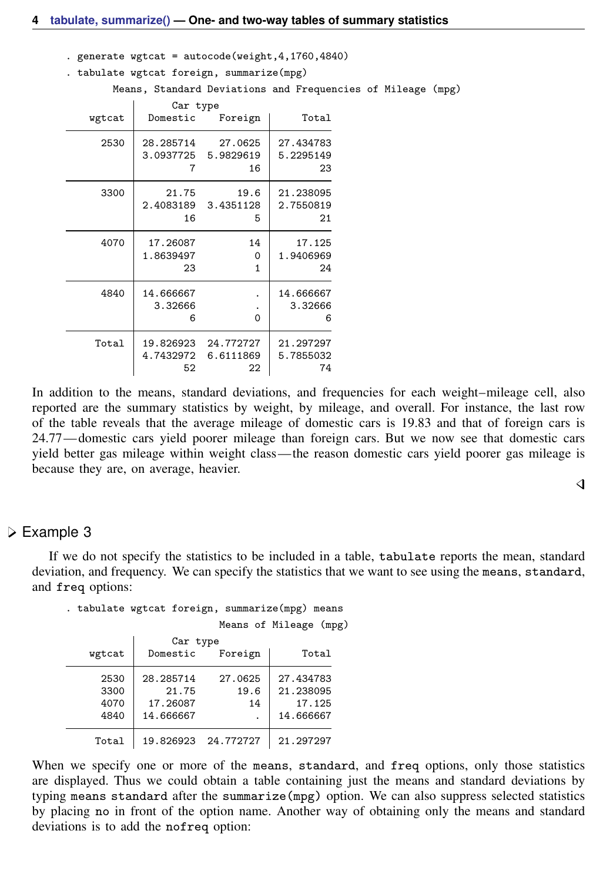- . generate wgtcat = autocode(weight, $4,1760,4840$ )
- . tabulate wgtcat foreign, summarize(mpg)

Means, Standard Deviations and Frequencies of Mileage (mpg)

| Car type                  |           |                           |        |
|---------------------------|-----------|---------------------------|--------|
| Total                     | Foreign   | Domestic                  | wgtcat |
| 27.434783                 | 27.0625   | 28.285714                 | 2530   |
| 5.2295149                 | 5.9829619 | 3.0937725                 |        |
| 23                        | 16        | 7                         |        |
| 21.238095                 | 19.6      | 21.75                     | 3300   |
| 2.7550819                 | 3.4351128 | 2.4083189                 |        |
| 21                        | 5         | 16                        |        |
| 17.125                    | 14        | 17.26087                  | 4070   |
| 1.9406969                 | 0         | 1.8639497                 |        |
| 24                        | 1         | 23                        |        |
| 14.666667<br>3.32666<br>6 | 0         | 14.666667<br>3.32666<br>6 | 4840   |
| 21.297297                 | 24.772727 | 19.826923                 | Total  |
| 5.7855032                 | 6.6111869 | 4.7432972                 |        |
| 74                        | 22        | 52                        |        |

In addition to the means, standard deviations, and frequencies for each weight–mileage cell, also reported are the summary statistics by weight, by mileage, and overall. For instance, the last row of the table reveals that the average mileage of domestic cars is 19.83 and that of foreign cars is 24.77— domestic cars yield poorer mileage than foreign cars. But we now see that domestic cars yield better gas mileage within weight class—the reason domestic cars yield poorer gas mileage is because they are, on average, heavier.

◁

#### Example 3

If we do not specify the statistics to be included in a table, tabulate reports the mean, standard deviation, and frequency. We can specify the statistics that we want to see using the means, standard, and freq options:

| . tabulate wgtcat foreign, summarize(mpg) means |                     |                |           |  |
|-------------------------------------------------|---------------------|----------------|-----------|--|
| Means of Mileage (mpg)                          |                     |                |           |  |
|                                                 | Car type            |                |           |  |
| wgtcat                                          | Domestic            | Foreign        | Total     |  |
| 2530                                            | 28.285714           | 27.0625        | 27.434783 |  |
| 3300                                            | 21.75               | 19.6           | 21.238095 |  |
| 4070                                            | 17.26087            | 14             | 17.125    |  |
| 4840                                            | 14.666667           | $\blacksquare$ | 14.666667 |  |
| Total                                           | 19.826923 24.772727 |                | 21.297297 |  |

When we specify one or more of the means, standard, and freq options, only those statistics are displayed. Thus we could obtain a table containing just the means and standard deviations by typing means standard after the summarize(mpg) option. We can also suppress selected statistics by placing no in front of the option name. Another way of obtaining only the means and standard deviations is to add the nofreq option: